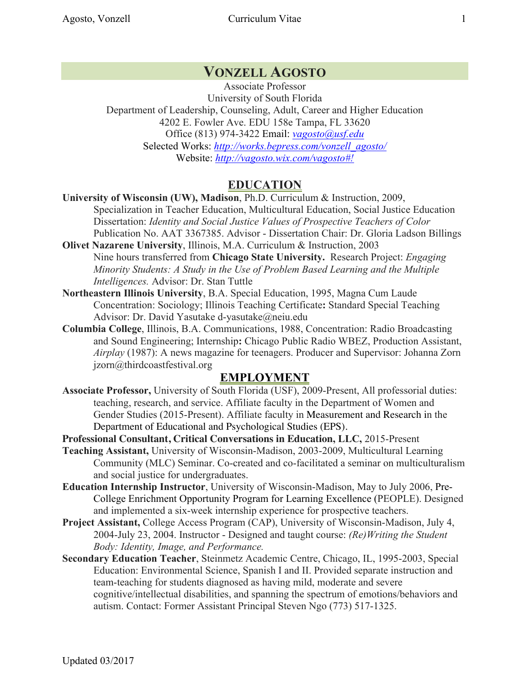# **VONZELL AGOSTO**

Associate Professor University of South Florida Department of Leadership, Counseling, Adult, Career and Higher Education 4202 E. Fowler Ave. EDU 158e Tampa, FL 33620 Office (813) 974-3422 Email: *vagosto@usf.edu* Selected Works: *http://works.bepress.com/vonzell\_agosto/* Website: *http://vagosto.wix.com/vagosto#!*

## **EDUCATION**

**University of Wisconsin (UW), Madison**, Ph.D. Curriculum & Instruction, 2009, Specialization in Teacher Education, Multicultural Education, Social Justice Education Dissertation: *Identity and Social Justice Values of Prospective Teachers of Color*  Publication No. AAT 3367385. Advisor - Dissertation Chair: Dr. Gloria Ladson Billings

- **Olivet Nazarene University**, Illinois, M.A. Curriculum & Instruction, 2003 Nine hours transferred from **Chicago State University.** Research Project: *Engaging Minority Students: A Study in the Use of Problem Based Learning and the Multiple Intelligences.* Advisor: Dr. Stan Tuttle
- **Northeastern Illinois University**, B.A. Special Education, 1995, Magna Cum Laude Concentration: Sociology; Illinois Teaching Certificate**:** Standard Special Teaching Advisor: Dr. David Yasutake d-yasutake@neiu.edu
- **Columbia College**, Illinois, B.A. Communications, 1988, Concentration: Radio Broadcasting and Sound Engineering; Internship**:** Chicago Public Radio WBEZ, Production Assistant, *Airplay* (1987): A news magazine for teenagers. Producer and Supervisor: Johanna Zorn jzorn@thirdcoastfestival.org

### **EMPLOYMENT**

**Associate Professor,** University of South Florida (USF), 2009-Present, All professorial duties: teaching, research, and service. Affiliate faculty in the Department of Women and Gender Studies (2015-Present). Affiliate faculty in Measurement and Research in the Department of Educational and Psychological Studies (EPS).

**Professional Consultant, Critical Conversations in Education, LLC,** 2015-Present

**Teaching Assistant,** University of Wisconsin-Madison, 2003-2009, Multicultural Learning Community (MLC) Seminar. Co-created and co-facilitated a seminar on multiculturalism and social justice for undergraduates.

- **Education Internship Instructor**, University of Wisconsin-Madison, May to July 2006, Pre-College Enrichment Opportunity Program for Learning Excellence (PEOPLE). Designed and implemented a six-week internship experience for prospective teachers.
- **Project Assistant,** College Access Program (CAP), University of Wisconsin-Madison, July 4, 2004-July 23, 2004. Instructor - Designed and taught course: *(Re)Writing the Student Body: Identity, Image, and Performance.*
- **Secondary Education Teacher**, Steinmetz Academic Centre, Chicago, IL, 1995-2003, Special Education: Environmental Science, Spanish I and II. Provided separate instruction and team-teaching for students diagnosed as having mild, moderate and severe cognitive/intellectual disabilities, and spanning the spectrum of emotions/behaviors and autism. Contact: Former Assistant Principal Steven Ngo (773) 517-1325.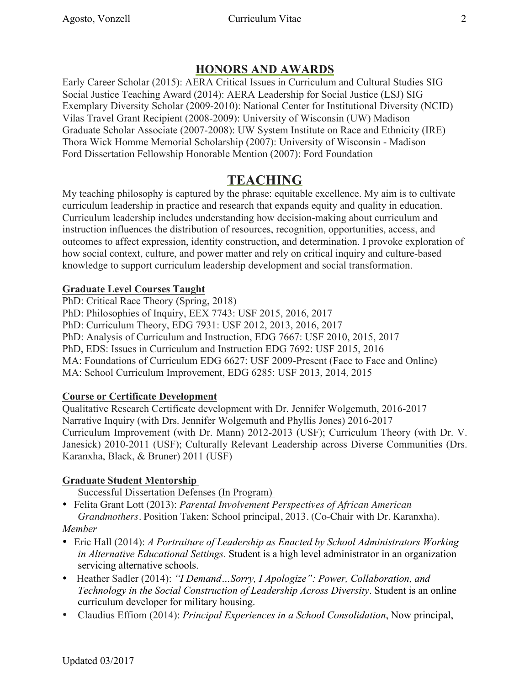# **HONORS AND AWARDS**

Early Career Scholar (2015): AERA Critical Issues in Curriculum and Cultural Studies SIG Social Justice Teaching Award (2014): AERA Leadership for Social Justice (LSJ) SIG Exemplary Diversity Scholar (2009-2010): National Center for Institutional Diversity (NCID) Vilas Travel Grant Recipient (2008-2009): University of Wisconsin (UW) Madison Graduate Scholar Associate (2007-2008): UW System Institute on Race and Ethnicity (IRE) Thora Wick Homme Memorial Scholarship (2007): University of Wisconsin - Madison Ford Dissertation Fellowship Honorable Mention (2007): Ford Foundation

# **TEACHING**

My teaching philosophy is captured by the phrase: equitable excellence. My aim is to cultivate curriculum leadership in practice and research that expands equity and quality in education. Curriculum leadership includes understanding how decision-making about curriculum and instruction influences the distribution of resources, recognition, opportunities, access, and outcomes to affect expression, identity construction, and determination. I provoke exploration of how social context, culture, and power matter and rely on critical inquiry and culture-based knowledge to support curriculum leadership development and social transformation.

### **Graduate Level Courses Taught**

PhD: Critical Race Theory (Spring, 2018) PhD: Philosophies of Inquiry, EEX 7743: USF 2015, 2016, 2017 PhD: Curriculum Theory, EDG 7931: USF 2012, 2013, 2016, 2017 PhD: Analysis of Curriculum and Instruction, EDG 7667: USF 2010, 2015, 2017 PhD, EDS: Issues in Curriculum and Instruction EDG 7692: USF 2015, 2016 MA: Foundations of Curriculum EDG 6627: USF 2009-Present (Face to Face and Online) MA: School Curriculum Improvement, EDG 6285: USF 2013, 2014, 2015

### **Course or Certificate Development**

Qualitative Research Certificate development with Dr. Jennifer Wolgemuth, 2016-2017 Narrative Inquiry (with Drs. Jennifer Wolgemuth and Phyllis Jones) 2016-2017 Curriculum Improvement (with Dr. Mann) 2012-2013 (USF); Curriculum Theory (with Dr. V. Janesick) 2010-2011 (USF); Culturally Relevant Leadership across Diverse Communities (Drs. Karanxha, Black, & Bruner) 2011 (USF)

## **Graduate Student Mentorship**

Successful Dissertation Defenses (In Program)

• Felita Grant Lott (2013): *Parental Involvement Perspectives of African American Grandmothers.* Position Taken: School principal, 2013. (Co-Chair with Dr. Karanxha).

### *Member*

- Eric Hall (2014): *A Portraiture of Leadership as Enacted by School Administrators Working in Alternative Educational Settings.* Student is a high level administrator in an organization servicing alternative schools.
- Heather Sadler (2014): *"I Demand…Sorry, I Apologize": Power, Collaboration, and Technology in the Social Construction of Leadership Across Diversity*. Student is an online curriculum developer for military housing.
- Claudius Effiom (2014): *Principal Experiences in a School Consolidation*, Now principal,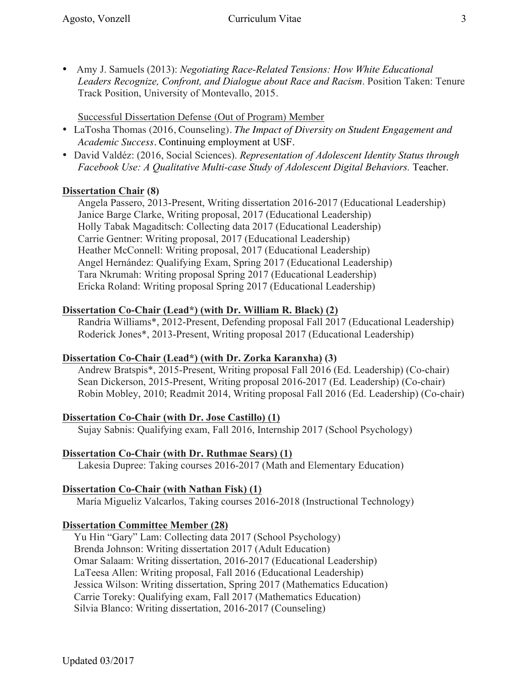• Amy J. Samuels (2013): *Negotiating Race-Related Tensions: How White Educational Leaders Recognize, Confront, and Dialogue about Race and Racism*. Position Taken: Tenure Track Position, University of Montevallo, 2015.

Successful Dissertation Defense (Out of Program) Member

- LaTosha Thomas (2016, Counseling). *The Impact of Diversity on Student Engagement and Academic Success.* Continuing employment at USF.
- David Valdéz: (2016, Social Sciences). *Representation of Adolescent Identity Status through Facebook Use: A Qualitative Multi-case Study of Adolescent Digital Behaviors.* Teacher.

## **Dissertation Chair (8)**

Angela Passero, 2013-Present, Writing dissertation 2016-2017 (Educational Leadership) Janice Barge Clarke, Writing proposal, 2017 (Educational Leadership) Holly Tabak Magaditsch: Collecting data 2017 (Educational Leadership) Carrie Gentner: Writing proposal, 2017 (Educational Leadership) Heather McConnell: Writing proposal, 2017 (Educational Leadership) Angel Hernández: Qualifying Exam, Spring 2017 (Educational Leadership) Tara Nkrumah: Writing proposal Spring 2017 (Educational Leadership) Ericka Roland: Writing proposal Spring 2017 (Educational Leadership)

## **Dissertation Co-Chair (Lead\*) (with Dr. William R. Black) (2)**

Randria Williams\*, 2012-Present, Defending proposal Fall 2017 (Educational Leadership) Roderick Jones\*, 2013-Present, Writing proposal 2017 (Educational Leadership)

### **Dissertation Co-Chair (Lead\*) (with Dr. Zorka Karanxha) (3)**

Andrew Bratspis\*, 2015-Present, Writing proposal Fall 2016 (Ed. Leadership) (Co-chair) Sean Dickerson, 2015-Present, Writing proposal 2016-2017 (Ed. Leadership) (Co-chair) Robin Mobley, 2010; Readmit 2014, Writing proposal Fall 2016 (Ed. Leadership) (Co-chair)

## **Dissertation Co-Chair (with Dr. Jose Castillo) (1)**

Sujay Sabnis: Qualifying exam, Fall 2016, Internship 2017 (School Psychology)

## **Dissertation Co-Chair (with Dr. Ruthmae Sears) (1)**

Lakesia Dupree: Taking courses 2016-2017 (Math and Elementary Education)

## **Dissertation Co-Chair (with Nathan Fisk) (1)**

María Migueliz Valcarlos, Taking courses 2016-2018 (Instructional Technology)

## **Dissertation Committee Member (28)**

Yu Hin "Gary" Lam: Collecting data 2017 (School Psychology) Brenda Johnson: Writing dissertation 2017 (Adult Education) Omar Salaam: Writing dissertation, 2016-2017 (Educational Leadership) LaTeesa Allen: Writing proposal, Fall 2016 (Educational Leadership) Jessica Wilson: Writing dissertation, Spring 2017 (Mathematics Education) Carrie Toreky: Qualifying exam, Fall 2017 (Mathematics Education) Silvia Blanco: Writing dissertation, 2016-2017 (Counseling)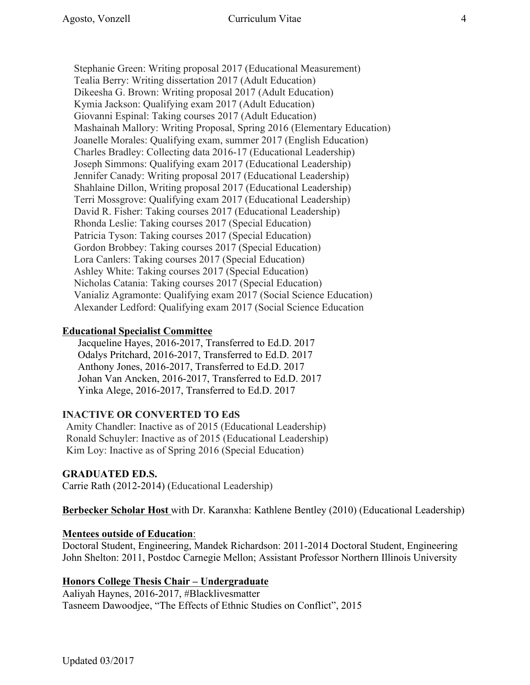Stephanie Green: Writing proposal 2017 (Educational Measurement) Tealia Berry: Writing dissertation 2017 (Adult Education) Dikeesha G. Brown: Writing proposal 2017 (Adult Education) Kymia Jackson: Qualifying exam 2017 (Adult Education) Giovanni Espinal: Taking courses 2017 (Adult Education) Mashainah Mallory: Writing Proposal, Spring 2016 (Elementary Education) Joanelle Morales: Qualifying exam, summer 2017 (English Education) Charles Bradley: Collecting data 2016-17 (Educational Leadership) Joseph Simmons: Qualifying exam 2017 (Educational Leadership) Jennifer Canady: Writing proposal 2017 (Educational Leadership) Shahlaine Dillon, Writing proposal 2017 (Educational Leadership) Terri Mossgrove: Qualifying exam 2017 (Educational Leadership) David R. Fisher: Taking courses 2017 (Educational Leadership) Rhonda Leslie: Taking courses 2017 (Special Education) Patricia Tyson: Taking courses 2017 (Special Education) Gordon Brobbey: Taking courses 2017 (Special Education) Lora Canlers: Taking courses 2017 (Special Education) Ashley White: Taking courses 2017 (Special Education) Nicholas Catania: Taking courses 2017 (Special Education) Vanializ Agramonte: Qualifying exam 2017 (Social Science Education) Alexander Ledford: Qualifying exam 2017 (Social Science Education

### **Educational Specialist Committee**

Jacqueline Hayes, 2016-2017, Transferred to Ed.D. 2017 Odalys Pritchard, 2016-2017, Transferred to Ed.D. 2017 Anthony Jones, 2016-2017, Transferred to Ed.D. 2017 Johan Van Ancken, 2016-2017, Transferred to Ed.D. 2017 Yinka Alege, 2016-2017, Transferred to Ed.D. 2017

### **INACTIVE OR CONVERTED TO EdS**

Amity Chandler: Inactive as of 2015 (Educational Leadership) Ronald Schuyler: Inactive as of 2015 (Educational Leadership) Kim Loy: Inactive as of Spring 2016 (Special Education)

#### **GRADUATED ED.S.**

Carrie Rath (2012-2014) (Educational Leadership)

**Berbecker Scholar Host** with Dr. Karanxha: Kathlene Bentley (2010) (Educational Leadership)

### **Mentees outside of Education**:

Doctoral Student, Engineering, Mandek Richardson: 2011-2014 Doctoral Student, Engineering John Shelton: 2011, Postdoc Carnegie Mellon; Assistant Professor Northern Illinois University

### **Honors College Thesis Chair – Undergraduate**

Aaliyah Haynes, 2016-2017, #Blacklivesmatter Tasneem Dawoodjee, "The Effects of Ethnic Studies on Conflict", 2015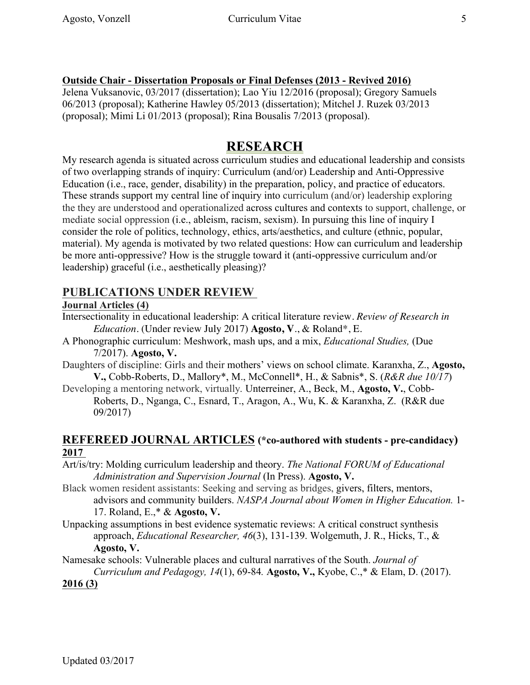### **Outside Chair - Dissertation Proposals or Final Defenses (2013 - Revived 2016)**

Jelena Vuksanovic, 03/2017 (dissertation); Lao Yiu 12/2016 (proposal); Gregory Samuels 06/2013 (proposal); Katherine Hawley 05/2013 (dissertation); Mitchel J. Ruzek 03/2013 (proposal); Mimi Li 01/2013 (proposal); Rina Bousalis 7/2013 (proposal).

# **RESEARCH**

My research agenda is situated across curriculum studies and educational leadership and consists of two overlapping strands of inquiry: Curriculum (and/or) Leadership and Anti-Oppressive Education (i.e., race, gender, disability) in the preparation, policy, and practice of educators. These strands support my central line of inquiry into curriculum (and/or) leadership exploring the they are understood and operationalized across cultures and contexts to support, challenge, or mediate social oppression (i.e., ableism, racism, sexism). In pursuing this line of inquiry I consider the role of politics, technology, ethics, arts/aesthetics, and culture (ethnic, popular, material). My agenda is motivated by two related questions: How can curriculum and leadership be more anti-oppressive? How is the struggle toward it (anti-oppressive curriculum and/or leadership) graceful (i.e., aesthetically pleasing)?

## **PUBLICATIONS UNDER REVIEW**

#### **Journal Articles (4)**

- Intersectionality in educational leadership: A critical literature review. *Review of Research in Education.* (Under review July 2017) **Agosto, V**., & Roland\*, E.
- A Phonographic curriculum: Meshwork, mash ups, and a mix, *Educational Studies,* (Due 7/2017). **Agosto, V.**
- Daughters of discipline: Girls and their mothers' views on school climate. Karanxha, Z., **Agosto, V.,** Cobb-Roberts, D., Mallory\*, M., McConnell\*, H., & Sabnis\*, S. (*R&R due 10/17*)
- Developing a mentoring network, virtually*.* Unterreiner, A., Beck, M., **Agosto, V.**, Cobb-Roberts, D., Nganga, C., Esnard, T., Aragon, A., Wu, K. & Karanxha, Z. (R&R due 09/2017)

### **REFEREED JOURNAL ARTICLES (\*co-authored with students - pre-candidacy) 2017**

- Art/is/try: Molding curriculum leadership and theory. *The National FORUM of Educational Administration and Supervision Journal* (In Press). **Agosto, V.**
- Black women resident assistants: Seeking and serving as bridges, givers, filters, mentors, advisors and community builders. *NASPA Journal about Women in Higher Education.* 1- 17. Roland, E.,\* & **Agosto, V.**
- Unpacking assumptions in best evidence systematic reviews: A critical construct synthesis approach, *Educational Researcher, 46*(3), 131-139. Wolgemuth, J. R., Hicks, T., & **Agosto, V.**
- Namesake schools: Vulnerable places and cultural narratives of the South. *Journal of*

*Curriculum and Pedagogy, 14*(1), 69-84*.* **Agosto, V.,** Kyobe, C.,\* & Elam, D. (2017).

### **2016 (3)**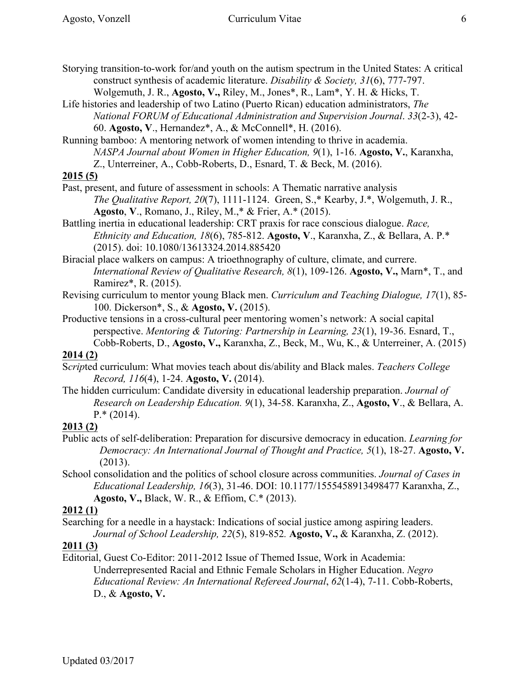construct synthesis of academic literature. *Disability & Society, 31*(6), 777-797. Wolgemuth, J. R., **Agosto, V.,** Riley, M., Jones\*, R., Lam\*, Y. H. & Hicks, T.

- Life histories and leadership of two Latino (Puerto Rican) education administrators, *The National FORUM of Educational Administration and Supervision Journal*. *33*(2-3), 42- 60. **Agosto, V**., Hernandez\*, A., & McConnell\*, H. (2016).
- Running bamboo: A mentoring network of women intending to thrive in academia. *NASPA Journal about Women in Higher Education, 9*(1), 1-16. **Agosto, V.**, Karanxha, Z., Unterreiner, A., Cobb-Roberts, D., Esnard, T. & Beck, M. (2016).

## **2015 (5)**

- Past, present, and future of assessment in schools: A Thematic narrative analysis *The Qualitative Report, 20*(7), 1111-1124. Green, S.,\* Kearby, J.\*, Wolgemuth, J. R., **Agosto**, **V**., Romano, J., Riley, M.,\* & Frier, A.\* (2015).
- Battling inertia in educational leadership: CRT praxis for race conscious dialogue. *Race, Ethnicity and Education, 18*(6), 785-812. **Agosto, V**., Karanxha, Z., & Bellara, A. P.\* (2015). doi: 10.1080/13613324.2014.885420
- Biracial place walkers on campus: A trioethnography of culture, climate, and currere. *International Review of Qualitative Research, 8*(1), 109-126. **Agosto, V.,** Marn\*, T., and Ramirez\*, R. (2015).
- Revising curriculum to mentor young Black men. *Curriculum and Teaching Dialogue, 17*(1), 85- 100. Dickerson\*, S., & **Agosto, V.** (2015).

Productive tensions in a cross-cultural peer mentoring women's network: A social capital perspective. *Mentoring & Tutoring: Partnership in Learning, 23*(1), 19-36. Esnard, T., Cobb-Roberts, D., **Agosto, V.,** Karanxha, Z., Beck, M., Wu, K., & Unterreiner, A. (2015)

## **2014 (2)**

- S*crip*ted curriculum: What movies teach about dis/ability and Black males. *Teachers College Record, 116*(4), 1-24. **Agosto, V.** (2014).
- The hidden curriculum: Candidate diversity in educational leadership preparation. *Journal of Research on Leadership Education. 9*(1), 34-58. Karanxha, Z., **Agosto, V**., & Bellara, A.  $P^*(2014)$ .

## **2013 (2)**

- Public acts of self-deliberation: Preparation for discursive democracy in education. *Learning for Democracy: An International Journal of Thought and Practice, 5*(1), 18-27. **Agosto, V.**  (2013).
- School consolidation and the politics of school closure across communities. *Journal of Cases in Educational Leadership, 16*(3), 31-46. DOI: 10.1177/1555458913498477 Karanxha, Z., **Agosto, V.,** Black, W. R., & Effiom, C.\* (2013).

## **2012 (1)**

Searching for a needle in a haystack: Indications of social justice among aspiring leaders. *Journal of School Leadership, 22*(5), 819-852*.* **Agosto, V.,** & Karanxha, Z. (2012).

## **2011 (3)**

Editorial, Guest Co-Editor: 2011-2012 Issue of Themed Issue, Work in Academia: Underrepresented Racial and Ethnic Female Scholars in Higher Education. *Negro Educational Review: An International Refereed Journal*, *62*(1-4), 7-11. Cobb-Roberts, D., & **Agosto, V.**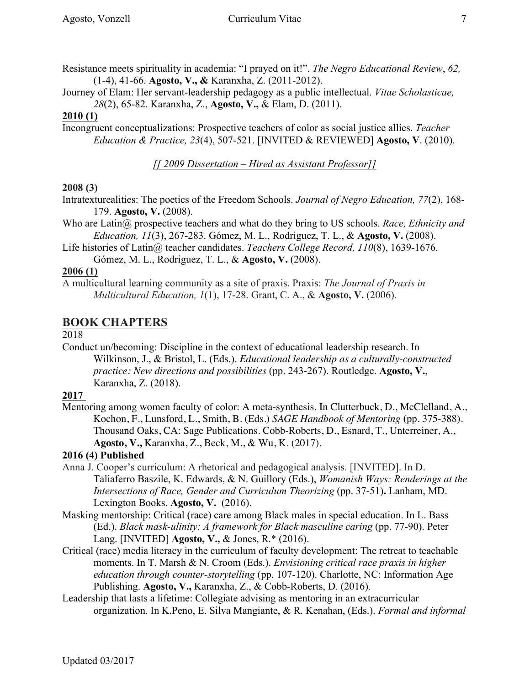Journey of Elam: Her servant-leadership pedagogy as a public intellectual. *Vitae Scholasticae, 28*(2), 65-82. Karanxha, Z., **Agosto, V.,** & Elam, D. (2011).

### **2010 (1)**

Incongruent conceptualizations: Prospective teachers of color as social justice allies. *Teacher Education & Practice, 23*(4), 507-521. [INVITED & REVIEWED] **Agosto, V**. (2010).

*[[ 2009 Dissertation – Hired as Assistant Professor]]*

### **2008 (3)**

Intratexturealities: The poetics of the Freedom Schools. *Journal of Negro Education, 77*(2), 168- 179. **Agosto, V.** (2008).

Who are Latin@ prospective teachers and what do they bring to US schools. *Race, Ethnicity and Education, 11*(3), 267-283. Gómez, M. L., Rodriguez, T. L., & **Agosto, V.** (2008).

Life histories of Latin@ teacher candidates. *Teachers College Record, 110*(8), 1639-1676. Gómez, M. L., Rodriguez, T. L., & **Agosto, V.** (2008).

### **2006 (1)**

A multicultural learning community as a site of praxis. Praxis: *The Journal of Praxis in Multicultural Education, 1*(1), 17-28. Grant, C. A., & **Agosto, V.** (2006).

# **BOOK CHAPTERS**

#### 2018

Conduct un/becoming: Discipline in the context of educational leadership research. In Wilkinson, J., & Bristol, L. (Eds.). *Educational leadership as a culturally-constructed practice: New directions and possibilities* (pp. 243-267). Routledge. **Agosto, V.**, Karanxha, Z. (2018).

### **2017**

Mentoring among women faculty of color: A meta-synthesis. In Clutterbuck, D., McClelland, A., Kochon, F., Lunsford, L., Smith, B. (Eds.) *SAGE Handbook of Mentoring* **(**pp. 375-388). Thousand Oaks, CA: Sage Publications. Cobb-Roberts, D., Esnard, T., Unterreiner, A., **Agosto, V.,** Karanxha, Z., Beck, M., & Wu, K. (2017).

### **2016 (4) Published**

- Anna J. Cooper's curriculum: A rhetorical and pedagogical analysis. [INVITED]. In D. Taliaferro Baszile, K. Edwards, & N. Guillory (Eds.), *Womanish Ways: Renderings at the Intersections of Race, Gender and Curriculum Theorizing* (pp. 37-51)**.** Lanham, MD. Lexington Books. **Agosto, V.** (2016).
- Masking mentorship: Critical (race) care among Black males in special education. In L. Bass (Ed.). *Black mask-ulinity: A framework for Black masculine caring* (pp. 77-90). Peter Lang. [INVITED] **Agosto, V.,** & Jones, R.\* (2016).
- Critical (race) media literacy in the curriculum of faculty development: The retreat to teachable moments. In T. Marsh & N. Croom (Eds.). *Envisioning critical race praxis in higher education through counter-storytelling* (pp. 107-120). Charlotte, NC: Information Age Publishing. **Agosto, V.,** Karanxha, Z., & Cobb-Roberts, D. (2016).
- Leadership that lasts a lifetime: Collegiate advising as mentoring in an extracurricular organization. In K.Peno, E. Silva Mangiante, & R. Kenahan, (Eds.). *Formal and informal*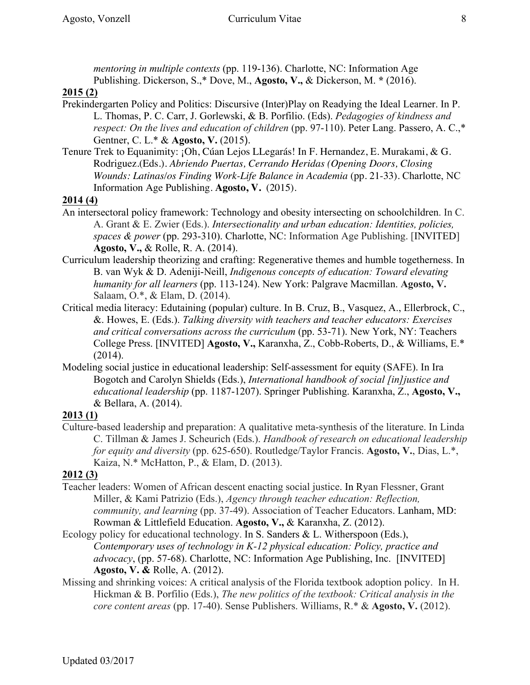*mentoring in multiple contexts* (pp. 119-136). Charlotte, NC: Information Age Publishing. Dickerson, S.,\* Dove, M., **Agosto, V.,** & Dickerson, M. **\*** (2016).

### **2015 (2)**

- Prekindergarten Policy and Politics: Discursive (Inter)Play on Readying the Ideal Learner. In P. L. Thomas, P. C. Carr, J. Gorlewski, & B. Porfilio. (Eds). *Pedagogies of kindness and respect: On the lives and education of children* (pp. 97-110). Peter Lang. Passero, A. C.,\* Gentner, C. L.\* & **Agosto, V.** (2015).
- Tenure Trek to Equanimity: ¡Oh, Cúan Lejos LLegarás! In F. Hernandez, E. Murakami, & G. Rodriguez.(Eds.). *Abriendo Puertas, Cerrando Heridas (Opening Doors, Closing Wounds: Latinas/os Finding Work-Life Balance in Academia* (pp. 21-33)*.* Charlotte, NC Information Age Publishing. **Agosto, V.** (2015).

### **2014 (4)**

- An intersectoral policy framework: Technology and obesity intersecting on schoolchildren. In C. A. Grant & E. Zwier (Eds.). *Intersectionality and urban education: Identities, policies, spaces & power* (pp. 293-310). Charlotte, NC: Information Age Publishing. [INVITED] **Agosto, V.,** & Rolle, R. A. (2014).
- Curriculum leadership theorizing and crafting: Regenerative themes and humble togetherness. In B. van Wyk & D. Adeniji-Neill, *Indigenous concepts of education: Toward elevating humanity for all learners* (pp. 113-124). New York: Palgrave Macmillan. **Agosto, V.** Salaam, O.\*, & Elam, D. (2014).
- Critical media literacy: Edutaining (popular) culture. In B. Cruz, B., Vasquez, A., Ellerbrock, C., &. Howes, E. (Eds.). *Talking diversity with teachers and teacher educators: Exercises and critical conversations across the curriculum* (pp. 53-71). New York, NY: Teachers College Press. [INVITED] **Agosto, V.,** Karanxha, Z., Cobb-Roberts, D., & Williams, E.\*  $(2014)$ .
- Modeling social justice in educational leadership: Self-assessment for equity (SAFE). In Ira Bogotch and Carolyn Shields (Eds.), *International handbook of social [in]justice and educational leadership* (pp. 1187-1207). Springer Publishing. Karanxha, Z., **Agosto, V.,**  & Bellara, A. (2014).

## **2013 (1)**

Culture-based leadership and preparation: A qualitative meta-synthesis of the literature. In Linda C. Tillman & James J. Scheurich (Eds.). *Handbook of research on educational leadership for equity and diversity* (pp. 625-650). Routledge/Taylor Francis. **Agosto, V.**, Dias, L.\*, Kaiza, N.\* McHatton, P., & Elam, D. (2013).

## **2012 (3)**

- Teacher leaders: Women of African descent enacting social justice. In Ryan Flessner, Grant Miller, & Kami Patrizio (Eds.), *Agency through teacher education: Reflection, community, and learning* (pp. 37-49). Association of Teacher Educators. Lanham, MD: Rowman & Littlefield Education. **Agosto, V.,** & Karanxha, Z. (2012).
- Ecology policy for educational technology. In S. Sanders & L. Witherspoon (Eds.), *Contemporary uses of technology in K-12 physical education: Policy, practice and advocacy*, (pp. 57-68). Charlotte, NC: Information Age Publishing, Inc. [INVITED] **Agosto, V. &** Rolle, A. (2012).
- Missing and shrinking voices: A critical analysis of the Florida textbook adoption policy. In H. Hickman & B. Porfilio (Eds.), *The new politics of the textbook: Critical analysis in the core content areas* (pp. 17-40). Sense Publishers. Williams, R.\* & **Agosto, V.** (2012).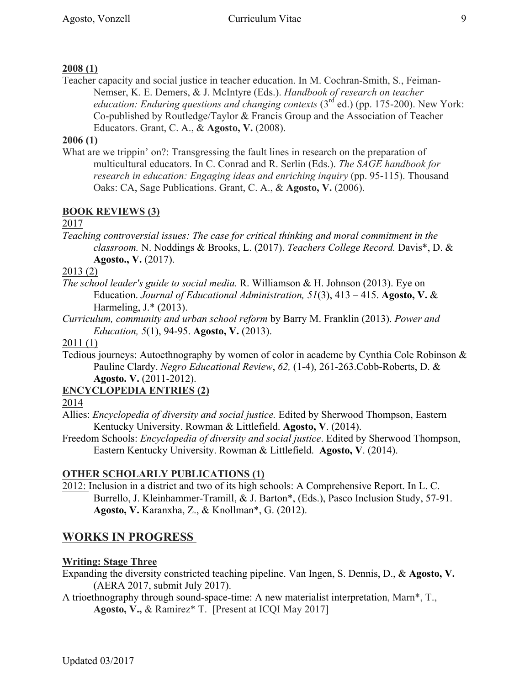### **2008 (1)**

Teacher capacity and social justice in teacher education. In M. Cochran-Smith, S., Feiman-Nemser, K. E. Demers, & J. McIntyre (Eds.). *Handbook of research on teacher education: Enduring questions and changing contexts* (3<sup>rd</sup> ed.) (pp. 175-200). New York: Co-published by Routledge/Taylor & Francis Group and the Association of Teacher Educators. Grant, C. A., & **Agosto, V.** (2008).

#### **2006 (1)**

What are we trippin' on?: Transgressing the fault lines in research on the preparation of multicultural educators. In C. Conrad and R. Serlin (Eds.). *The SAGE handbook for research in education: Engaging ideas and enriching inquiry* (pp. 95-115). Thousand Oaks: CA, Sage Publications. Grant, C. A., & **Agosto, V.** (2006).

### **BOOK REVIEWS (3)**

#### 2017

*Teaching controversial issues: The case for critical thinking and moral commitment in the classroom.* N. Noddings & Brooks, L. (2017). *Teachers College Record.* Davis\*, D. & **Agosto., V.** (2017).

#### 2013 (2)

- *The school leader's guide to social media.* R. Williamson & H. Johnson (2013). Eye on Education. *Journal of Educational Administration, 51*(3), 413 – 415. **Agosto, V.** & Harmeling, J.\* (2013).
- *Curriculum, community and urban school reform* by Barry M. Franklin (2013). *Power and Education, 5*(1), 94-95. **Agosto, V.** (2013).

#### 2011 (1)

Tedious journeys: Autoethnography by women of color in academe by Cynthia Cole Robinson & Pauline Clardy. *Negro Educational Review*, *62,* (1-4), 261-263.Cobb-Roberts, D. & **Agosto. V.** (2011-2012).

#### **ENCYCLOPEDIA ENTRIES (2)**

2014

- Allies: *Encyclopedia of diversity and social justice.* Edited by Sherwood Thompson, Eastern Kentucky University. Rowman & Littlefield. **Agosto, V**. (2014).
- Freedom Schools: *Encyclopedia of diversity and social justice*. Edited by Sherwood Thompson, Eastern Kentucky University. Rowman & Littlefield. **Agosto, V**. (2014).

#### **OTHER SCHOLARLY PUBLICATIONS (1)**

2012: Inclusion in a district and two of its high schools: A Comprehensive Report. In L. C. Burrello, J. Kleinhammer-Tramill, & J. Barton\*, (Eds.), Pasco Inclusion Study, 57-91. **Agosto, V.** Karanxha, Z., & Knollman\*, G. (2012).

# **WORKS IN PROGRESS**

#### **Writing: Stage Three**

- Expanding the diversity constricted teaching pipeline. Van Ingen, S. Dennis, D., & **Agosto, V.** (AERA 2017, submit July 2017).
- A trioethnography through sound-space-time: A new materialist interpretation, Marn\*, T., **Agosto, V.,** & Ramirez\* T. [Present at ICQI May 2017]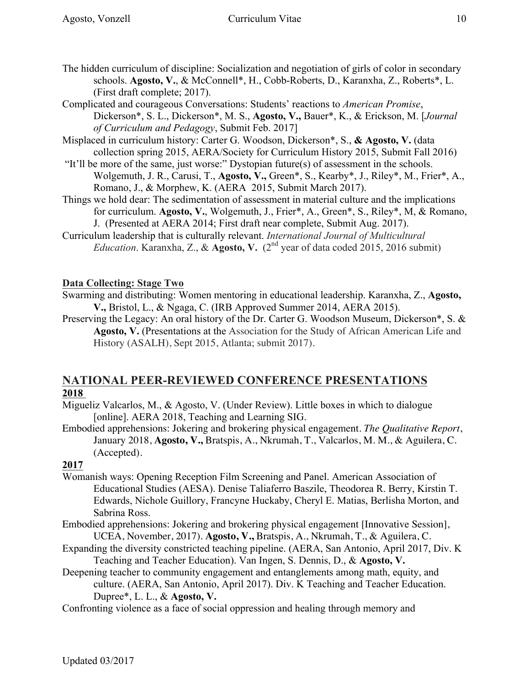Complicated and courageous Conversations: Students' reactions to *American Promise*, Dickerson\*, S. L., Dickerson\*, M. S., **Agosto, V.,** Bauer\*, K., & Erickson, M. [*Journal of Curriculum and Pedagogy*, Submit Feb. 2017]

- Misplaced in curriculum history: Carter G. Woodson, Dickerson\*, S., **& Agosto, V.** (data collection spring 2015, AERA/Society for Curriculum History 2015, Submit Fall 2016)
- "It'll be more of the same, just worse:" Dystopian future(s) of assessment in the schools. Wolgemuth, J. R., Carusi, T., **Agosto, V.,** Green\*, S., Kearby\*, J., Riley\*, M., Frier\*, A., Romano, J., & Morphew, K. (AERA 2015, Submit March 2017).
- Things we hold dear: The sedimentation of assessment in material culture and the implications for curriculum. **Agosto, V.**, Wolgemuth, J., Frier\*, A., Green\*, S., Riley\*, M, & Romano, J. (Presented at AERA 2014; First draft near complete, Submit Aug. 2017).
- Curriculum leadership that is culturally relevant. *International Journal of Multicultural Education*. Karanxha, Z., & **Agosto, V.**  $(2^{nd}$  year of data coded 2015, 2016 submit)

### **Data Collecting: Stage Two**

Swarming and distributing: Women mentoring in educational leadership. Karanxha, Z., **Agosto, V.,** Bristol, L., & Ngaga, C. (IRB Approved Summer 2014, AERA 2015).

Preserving the Legacy: An oral history of the Dr. Carter G. Woodson Museum, Dickerson\*, S. & **Agosto, V.** (Presentations at the Association for the Study of African American Life and History (ASALH), Sept 2015, Atlanta; submit 2017).

# **NATIONAL PEER-REVIEWED CONFERENCE PRESENTATIONS 2018**

- Migueliz Valcarlos, M., & Agosto, V. (Under Review). Little boxes in which to dialogue [online]. AERA 2018, Teaching and Learning SIG.
- Embodied apprehensions: Jokering and brokering physical engagement. *The Qualitative Report*, January 2018, **Agosto, V.,** Bratspis, A., Nkrumah, T., Valcarlos, M. M., & Aguilera, C. (Accepted).

## **2017**

- Womanish ways: Opening Reception Film Screening and Panel. American Association of Educational Studies (AESA). Denise Taliaferro Baszile, Theodorea R. Berry, Kirstin T. Edwards, Nichole Guillory, Francyne Huckaby, Cheryl E. Matias, Berlisha Morton, and Sabrina Ross.
- Embodied apprehensions: Jokering and brokering physical engagement [Innovative Session], UCEA, November, 2017). **Agosto, V.,** Bratspis, A., Nkrumah, T., & Aguilera, C.
- Expanding the diversity constricted teaching pipeline. (AERA, San Antonio, April 2017, Div. K Teaching and Teacher Education). Van Ingen, S. Dennis, D., & **Agosto, V.**
- Deepening teacher to community engagement and entanglements among math, equity, and culture. (AERA, San Antonio, April 2017). Div. K Teaching and Teacher Education. Dupree\*, L. L., & **Agosto, V.**
- Confronting violence as a face of social oppression and healing through memory and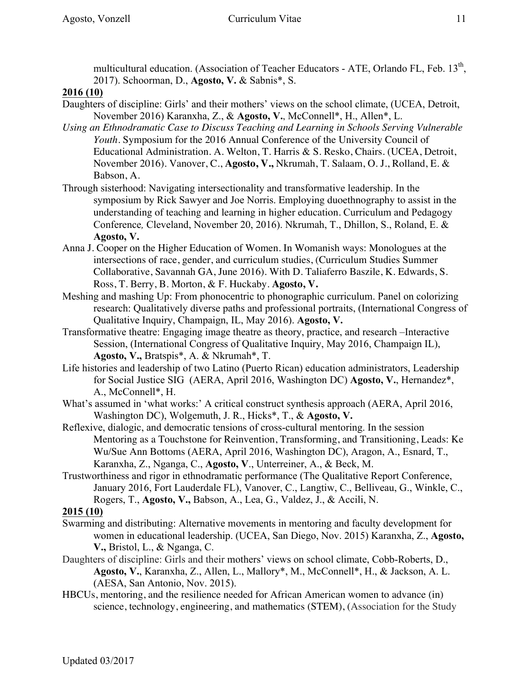multicultural education. (Association of Teacher Educators - ATE, Orlando FL, Feb. 13<sup>th</sup>, 2017). Schoorman, D., **Agosto, V.** & Sabnis\*, S.

### **2016 (10)**

- Daughters of discipline: Girls' and their mothers' views on the school climate, (UCEA, Detroit, November 2016) Karanxha, Z., & **Agosto, V.**, McConnell\*, H., Allen\*, L.
- *Using an Ethnodramatic Case to Discuss Teaching and Learning in Schools Serving Vulnerable Youth.* Symposium for the 2016 Annual Conference of the University Council of Educational Administration. A. Welton, T. Harris & S. Resko, Chairs. (UCEA, Detroit, November 2016). Vanover, C., **Agosto, V.,** Nkrumah, T. Salaam, O. J., Rolland, E. & Babson, A.
- Through sisterhood: Navigating intersectionality and transformative leadership. In the symposium by Rick Sawyer and Joe Norris. Employing duoethnography to assist in the understanding of teaching and learning in higher education. Curriculum and Pedagogy Conference*,* Cleveland, November 20, 2016). Nkrumah, T., Dhillon, S., Roland, E. & **Agosto, V.**
- Anna J. Cooper on the Higher Education of Women. In Womanish ways: Monologues at the intersections of race, gender, and curriculum studies, (Curriculum Studies Summer Collaborative, Savannah GA, June 2016). With D. Taliaferro Baszile, K. Edwards, S. Ross, T. Berry, B. Morton, & F. Huckaby. **Agosto, V.**
- Meshing and mashing Up: From phonocentric to phonographic curriculum. Panel on colorizing research: Qualitatively diverse paths and professional portraits, (International Congress of Qualitative Inquiry, Champaign, IL, May 2016). **Agosto, V.**
- Transformative theatre: Engaging image theatre as theory, practice, and research –Interactive Session, (International Congress of Qualitative Inquiry, May 2016, Champaign IL), **Agosto, V.,** Bratspis\*, A. & Nkrumah\*, T.
- Life histories and leadership of two Latino (Puerto Rican) education administrators, Leadership for Social Justice SIG (AERA, April 2016, Washington DC) **Agosto, V.**, Hernandez\*, A., McConnell\*, H.
- What's assumed in 'what works:' A critical construct synthesis approach (AERA, April 2016, Washington DC), Wolgemuth, J. R., Hicks\*, T., & **Agosto, V.**
- Reflexive, dialogic, and democratic tensions of cross-cultural mentoring. In the session Mentoring as a Touchstone for Reinvention, Transforming, and Transitioning, Leads: Ke Wu/Sue Ann Bottoms (AERA, April 2016, Washington DC), Aragon, A., Esnard, T., Karanxha, Z., Nganga, C., **Agosto, V**., Unterreiner, A., & Beck, M.
- Trustworthiness and rigor in ethnodramatic performance (The Qualitative Report Conference, January 2016, Fort Lauderdale FL), Vanover, C., Langtiw, C., Belliveau, G., Winkle, C., Rogers, T., **Agosto, V.,** Babson, A., Lea, G., Valdez, J., & Accili, N.

### **2015 (10)**

- Swarming and distributing: Alternative movements in mentoring and faculty development for women in educational leadership. (UCEA, San Diego, Nov. 2015) Karanxha, Z., **Agosto, V.,** Bristol, L., & Nganga, C.
- Daughters of discipline: Girls and their mothers' views on school climate, Cobb-Roberts, D., **Agosto, V.**, Karanxha, Z., Allen, L., Mallory\*, M., McConnell\*, H., & Jackson, A. L. (AESA, San Antonio, Nov. 2015).
- HBCUs, mentoring, and the resilience needed for African American women to advance (in) science, technology, engineering, and mathematics (STEM), (Association for the Study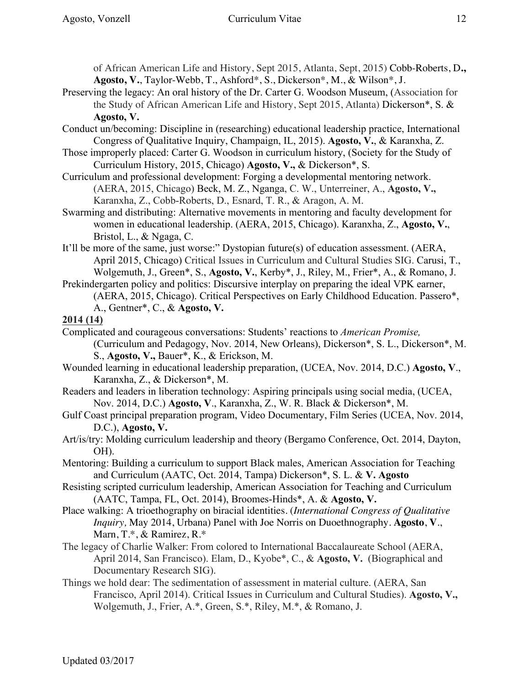of African American Life and History, Sept 2015, Atlanta, Sept, 2015) Cobb-Roberts, D**., Agosto, V.**, Taylor-Webb, T., Ashford\*, S., Dickerson\*, M., & Wilson\*, J.

- Preserving the legacy: An oral history of the Dr. Carter G. Woodson Museum, (Association for the Study of African American Life and History, Sept 2015, Atlanta) Dickerson\*, S. & **Agosto, V.**
- Conduct un/becoming: Discipline in (researching) educational leadership practice, International Congress of Qualitative Inquiry, Champaign, IL, 2015). **Agosto, V.**, & Karanxha, Z.
- Those improperly placed: Carter G. Woodson in curriculum history, (Society for the Study of Curriculum History, 2015, Chicago) **Agosto, V.,** & Dickerson\*, S.
- Curriculum and professional development: Forging a developmental mentoring network. (AERA, 2015, Chicago) Beck, M. Z., Nganga, C. W., Unterreiner, A., **Agosto, V.,**  Karanxha, Z., Cobb-Roberts, D., Esnard, T. R., & Aragon, A. M.
- Swarming and distributing: Alternative movements in mentoring and faculty development for women in educational leadership. (AERA, 2015, Chicago). Karanxha, Z., **Agosto, V.**, Bristol, L., & Ngaga, C.
- It'll be more of the same, just worse:" Dystopian future(s) of education assessment. (AERA, April 2015, Chicago) Critical Issues in Curriculum and Cultural Studies SIG. Carusi, T., Wolgemuth, J., Green\*, S., **Agosto, V.**, Kerby\*, J., Riley, M., Frier\*, A., & Romano, J.
- Prekindergarten policy and politics: Discursive interplay on preparing the ideal VPK earner, (AERA, 2015, Chicago). Critical Perspectives on Early Childhood Education. Passero\*, A., Gentner\*, C., & **Agosto, V.**

#### **2014 (14)**

- Complicated and courageous conversations: Students' reactions to *American Promise,*  (Curriculum and Pedagogy, Nov. 2014, New Orleans), Dickerson\*, S. L., Dickerson\*, M. S., **Agosto, V.,** Bauer\*, K., & Erickson, M.
- Wounded learning in educational leadership preparation, (UCEA, Nov. 2014, D.C.) **Agosto, V**., Karanxha, Z., & Dickerson\*, M.
- Readers and leaders in liberation technology: Aspiring principals using social media, (UCEA, Nov. 2014, D.C.) **Agosto, V**., Karanxha, Z., W. R. Black & Dickerson\*, M.
- Gulf Coast principal preparation program, Video Documentary, Film Series (UCEA, Nov. 2014, D.C.), **Agosto, V.**
- Art/is/try: Molding curriculum leadership and theory (Bergamo Conference, Oct. 2014, Dayton, OH).
- Mentoring: Building a curriculum to support Black males, American Association for Teaching and Curriculum (AATC, Oct. 2014, Tampa) Dickerson\*, S. L. & **V. Agosto**
- Resisting scripted curriculum leadership, American Association for Teaching and Curriculum (AATC, Tampa, FL, Oct. 2014), Broomes-Hinds\*, A. & **Agosto, V.**
- Place walking: A trioethography on biracial identities. (*International Congress of Qualitative Inquiry,* May 2014, Urbana) Panel with Joe Norris on Duoethnography. **Agosto**, **V**., Marn, T.\*, & Ramirez, R.\*
- The legacy of Charlie Walker: From colored to International Baccalaureate School (AERA, April 2014, San Francisco). Elam, D., Kyobe\*, C., & **Agosto, V.** (Biographical and Documentary Research SIG).
- Things we hold dear: The sedimentation of assessment in material culture. (AERA, San Francisco, April 2014). Critical Issues in Curriculum and Cultural Studies). **Agosto, V.,**  Wolgemuth, J., Frier, A.\*, Green, S.\*, Riley, M.\*, & Romano, J.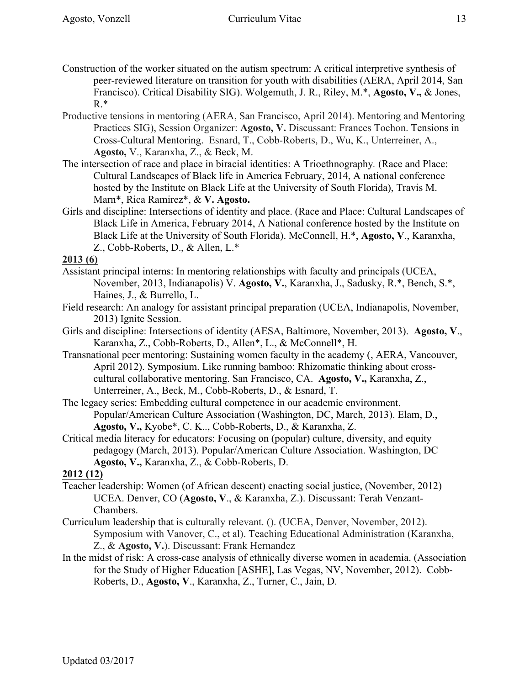- Construction of the worker situated on the autism spectrum: A critical interpretive synthesis of peer-reviewed literature on transition for youth with disabilities (AERA, April 2014, San Francisco). Critical Disability SIG). Wolgemuth, J. R., Riley, M.\*, **Agosto, V.,** & Jones,  $R.*$
- Productive tensions in mentoring (AERA, San Francisco, April 2014). Mentoring and Mentoring Practices SIG), Session Organizer: **Agosto, V.** Discussant: Frances Tochon. Tensions in Cross-Cultural Mentoring. Esnard, T., Cobb-Roberts, D., Wu, K., Unterreiner, A., **Agosto,** V., Karanxha, Z., & Beck, M.
- The intersection of race and place in biracial identities: A Trioethnography*.* (Race and Place: Cultural Landscapes of Black life in America February, 2014, A national conference hosted by the Institute on Black Life at the University of South Florida), Travis M. Marn\*, Rica Ramirez\*, & **V. Agosto.**
- Girls and discipline: Intersections of identity and place. (Race and Place: Cultural Landscapes of Black Life in America, February 2014, A National conference hosted by the Institute on Black Life at the University of South Florida). McConnell, H.\*, **Agosto, V**., Karanxha, Z., Cobb-Roberts, D., & Allen, L.\*

#### **2013 (6)**

- Assistant principal interns: In mentoring relationships with faculty and principals (UCEA, November, 2013, Indianapolis) V. **Agosto, V.**, Karanxha, J., Sadusky, R.\*, Bench, S.\*, Haines, J., & Burrello, L.
- Field research: An analogy for assistant principal preparation (UCEA, Indianapolis, November, 2013) Ignite Session.
- Girls and discipline: Intersections of identity (AESA, Baltimore, November, 2013). **Agosto, V**., Karanxha, Z., Cobb-Roberts, D., Allen\*, L., & McConnell\*, H.
- Transnational peer mentoring: Sustaining women faculty in the academy (, AERA, Vancouver, April 2012). Symposium. Like running bamboo: Rhizomatic thinking about crosscultural collaborative mentoring. San Francisco, CA. **Agosto, V.,** Karanxha, Z., Unterreiner, A., Beck, M., Cobb-Roberts, D., & Esnard, T.
- The legacy series: Embedding cultural competence in our academic environment. Popular/American Culture Association (Washington, DC, March, 2013). Elam, D., **Agosto, V.,** Kyobe\*, C. K.., Cobb-Roberts, D., & Karanxha, Z.
- Critical media literacy for educators: Focusing on (popular) culture, diversity, and equity pedagogy (March, 2013). Popular/American Culture Association. Washington, DC **Agosto, V.,** Karanxha, Z., & Cobb-Roberts, D.

### **2012 (12)**

- Teacher leadership: Women (of African descent) enacting social justice, (November, 2012) UCEA. Denver, CO (**Agosto, V**., & Karanxha, Z.). Discussant: Terah Venzant-Chambers.
- Curriculum leadership that is culturally relevant. (). (UCEA, Denver, November, 2012). Symposium with Vanover, C., et al). Teaching Educational Administration (Karanxha, Z., & **Agosto, V.**). Discussant: Frank Hernandez
- In the midst of risk: A cross-case analysis of ethnically diverse women in academia. (Association for the Study of Higher Education [ASHE], Las Vegas, NV, November, 2012). Cobb-Roberts, D., **Agosto, V**., Karanxha, Z., Turner, C., Jain, D.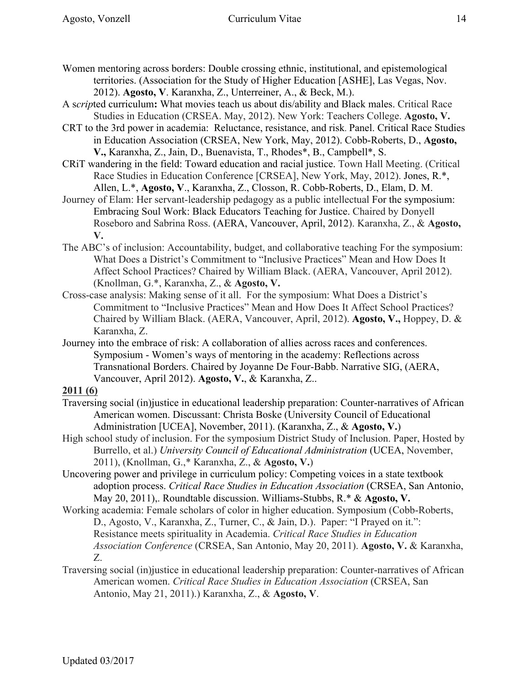- A s*crip*ted curriculum**:** What movies teach us about dis/ability and Black males. Critical Race Studies in Education (CRSEA. May, 2012). New York: Teachers College. **Agosto, V.**
- CRT to the 3rd power in academia: Reluctance, resistance, and risk. Panel. Critical Race Studies in Education Association (CRSEA, New York, May, 2012). Cobb-Roberts, D., **Agosto, V.,** Karanxha, Z., Jain, D., Buenavista, T., Rhodes\*, B., Campbell\*, S.
- CRiT wandering in the field: Toward education and racial justice. Town Hall Meeting. (Critical Race Studies in Education Conference [CRSEA], New York, May, 2012). Jones, R.\*, Allen, L.\*, **Agosto, V**., Karanxha, Z., Closson, R. Cobb-Roberts, D., Elam, D. M.
- Journey of Elam: Her servant-leadership pedagogy as a public intellectual For the symposium: Embracing Soul Work: Black Educators Teaching for Justice. Chaired by Donyell Roseboro and Sabrina Ross. (AERA, Vancouver, April, 2012). Karanxha, Z., & **Agosto, V.**
- The ABC's of inclusion: Accountability, budget, and collaborative teaching For the symposium: What Does a District's Commitment to "Inclusive Practices" Mean and How Does It Affect School Practices? Chaired by William Black. (AERA, Vancouver, April 2012). (Knollman, G.\*, Karanxha, Z., & **Agosto, V.**
- Cross-case analysis: Making sense of it all. For the symposium: What Does a District's Commitment to "Inclusive Practices" Mean and How Does It Affect School Practices? Chaired by William Black. (AERA, Vancouver, April, 2012). **Agosto, V.,** Hoppey, D. & Karanxha, Z.
- Journey into the embrace of risk: A collaboration of allies across races and conferences. Symposium - Women's ways of mentoring in the academy: Reflections across Transnational Borders. Chaired by Joyanne De Four-Babb. Narrative SIG, (AERA, Vancouver, April 2012). **Agosto, V.**, & Karanxha, Z..

### **2011 (6)**

- Traversing social (in)justice in educational leadership preparation: Counter-narratives of African American women. Discussant: Christa Boske (University Council of Educational Administration [UCEA], November, 2011). (Karanxha, Z., & **Agosto, V.**)
- High school study of inclusion. For the symposium District Study of Inclusion. Paper, Hosted by Burrello, et al.) *University Council of Educational Administration* (UCEA, November, 2011), (Knollman, G.,\* Karanxha, Z., & **Agosto, V.**)
- Uncovering power and privilege in curriculum policy: Competing voices in a state textbook adoption process. *Critical Race Studies in Education Association* (CRSEA, San Antonio, May 20, 2011),. Roundtable discussion. Williams-Stubbs, R.\* & **Agosto, V.**
- Working academia: Female scholars of color in higher education. Symposium (Cobb-Roberts, D., Agosto, V., Karanxha, Z., Turner, C., & Jain, D.). Paper: "I Prayed on it.": Resistance meets spirituality in Academia. *Critical Race Studies in Education Association Conference* (CRSEA, San Antonio, May 20, 2011). **Agosto, V.** & Karanxha, Z.
- Traversing social (in)justice in educational leadership preparation: Counter-narratives of African American women. *Critical Race Studies in Education Association* (CRSEA, San Antonio, May 21, 2011).) Karanxha, Z., & **Agosto, V**.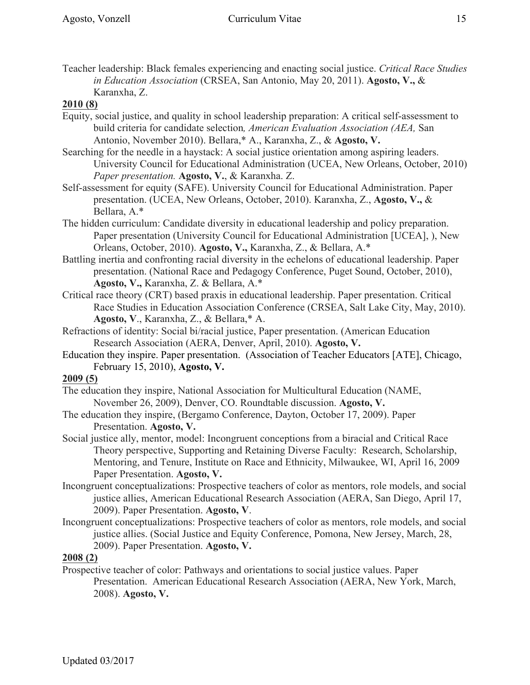Teacher leadership: Black females experiencing and enacting social justice. *Critical Race Studies in Education Association* (CRSEA, San Antonio, May 20, 2011). **Agosto, V.,** & Karanxha, Z.

### **2010 (8)**

- Equity, social justice, and quality in school leadership preparation: A critical self-assessment to build criteria for candidate selection*, American Evaluation Association (AEA,* San Antonio, November 2010). Bellara,\* A., Karanxha, Z., & **Agosto, V.**
- Searching for the needle in a haystack: A social justice orientation among aspiring leaders. University Council for Educational Administration (UCEA, New Orleans, October, 2010) *Paper presentation.* **Agosto, V.**, & Karanxha. Z.
- Self-assessment for equity (SAFE). University Council for Educational Administration. Paper presentation. (UCEA, New Orleans, October, 2010). Karanxha, Z., **Agosto, V.,** & Bellara, A.\*
- The hidden curriculum: Candidate diversity in educational leadership and policy preparation. Paper presentation (University Council for Educational Administration [UCEA], ), New Orleans, October, 2010). **Agosto, V.,** Karanxha, Z., & Bellara, A.\*
- Battling inertia and confronting racial diversity in the echelons of educational leadership. Paper presentation. (National Race and Pedagogy Conference, Puget Sound, October, 2010), **Agosto, V.,** Karanxha, Z. & Bellara, A.\*
- Critical race theory (CRT) based praxis in educational leadership. Paper presentation. Critical Race Studies in Education Association Conference (CRSEA, Salt Lake City, May, 2010). **Agosto, V**., Karanxha, Z., & Bellara,\* A.
- Refractions of identity: Social bi/racial justice, Paper presentation. (American Education Research Association (AERA, Denver, April, 2010). **Agosto, V.**
- Education they inspire. Paper presentation. (Association of Teacher Educators [ATE], Chicago, February 15, 2010), **Agosto, V.**

### **2009 (5)**

- The education they inspire, National Association for Multicultural Education (NAME, November 26, 2009), Denver, CO. Roundtable discussion. **Agosto, V.**
- The education they inspire, (Bergamo Conference, Dayton, October 17, 2009). Paper Presentation. **Agosto, V.**
- Social justice ally, mentor, model: Incongruent conceptions from a biracial and Critical Race Theory perspective, Supporting and Retaining Diverse Faculty: Research, Scholarship, Mentoring, and Tenure, Institute on Race and Ethnicity, Milwaukee, WI, April 16, 2009 Paper Presentation. **Agosto, V.**
- Incongruent conceptualizations: Prospective teachers of color as mentors, role models, and social justice allies, American Educational Research Association (AERA, San Diego, April 17, 2009). Paper Presentation. **Agosto, V**.
- Incongruent conceptualizations: Prospective teachers of color as mentors, role models, and social justice allies. (Social Justice and Equity Conference, Pomona, New Jersey, March, 28, 2009). Paper Presentation. **Agosto, V.**

### **2008 (2)**

Prospective teacher of color: Pathways and orientations to social justice values. Paper Presentation. American Educational Research Association (AERA, New York, March, 2008). **Agosto, V.**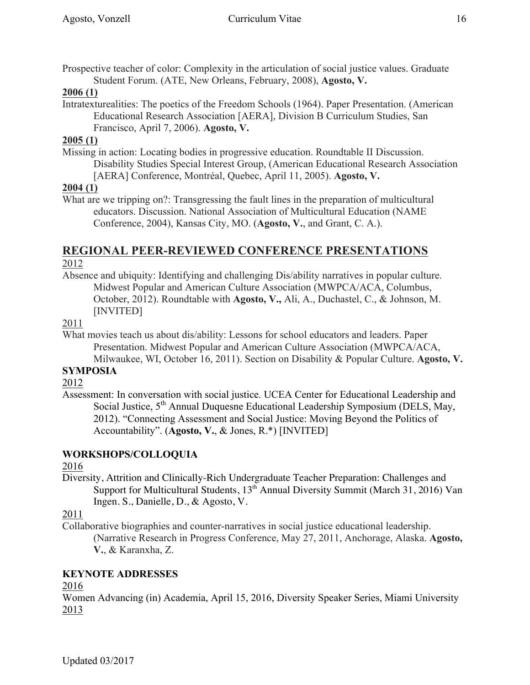Prospective teacher of color: Complexity in the articulation of social justice values. Graduate Student Forum. (ATE, New Orleans, February, 2008), **Agosto, V.** 

#### **2006 (1)**

Intratexturealities: The poetics of the Freedom Schools (1964). Paper Presentation. (American Educational Research Association [AERA], Division B Curriculum Studies, San Francisco, April 7, 2006). **Agosto, V.**

#### **2005 (1)**

Missing in action: Locating bodies in progressive education. Roundtable II Discussion. Disability Studies Special Interest Group, (American Educational Research Association [AERA] Conference, Montréal, Quebec, April 11, 2005). **Agosto, V.**

#### **2004 (1)**

What are we tripping on?: Transgressing the fault lines in the preparation of multicultural educators. Discussion. National Association of Multicultural Education (NAME Conference, 2004), Kansas City, MO. (**Agosto, V.**, and Grant, C. A.).

#### **REGIONAL PEER-REVIEWED CONFERENCE PRESENTATIONS** 2012

Absence and ubiquity: Identifying and challenging Dis/ability narratives in popular culture. Midwest Popular and American Culture Association (MWPCA/ACA, Columbus, October, 2012). Roundtable with **Agosto, V.,** Ali, A., Duchastel, C., & Johnson, M. [INVITED]

### 2011

What movies teach us about dis/ability: Lessons for school educators and leaders. Paper Presentation. Midwest Popular and American Culture Association (MWPCA/ACA, Milwaukee, WI, October 16, 2011). Section on Disability & Popular Culture. **Agosto, V.**

#### **SYMPOSIA**

#### 2012

Assessment: In conversation with social justice. UCEA Center for Educational Leadership and Social Justice, 5<sup>th</sup> Annual Duquesne Educational Leadership Symposium (DELS, May, 2012). "Connecting Assessment and Social Justice: Moving Beyond the Politics of Accountability". (**Agosto, V.**, & Jones, R.\*) [INVITED]

### **WORKSHOPS/COLLOQUIA**

#### 2016

Diversity, Attrition and Clinically-Rich Undergraduate Teacher Preparation: Challenges and Support for Multicultural Students,  $13<sup>th</sup>$  Annual Diversity Summit (March 31, 2016) Van Ingen. S., Danielle, D., & Agosto, V.

### 2011

Collaborative biographies and counter-narratives in social justice educational leadership. (Narrative Research in Progress Conference, May 27, 2011, Anchorage, Alaska. **Agosto, V.**, & Karanxha, Z.

### **KEYNOTE ADDRESSES**

2016

Women Advancing (in) Academia, April 15, 2016, Diversity Speaker Series, Miami University 2013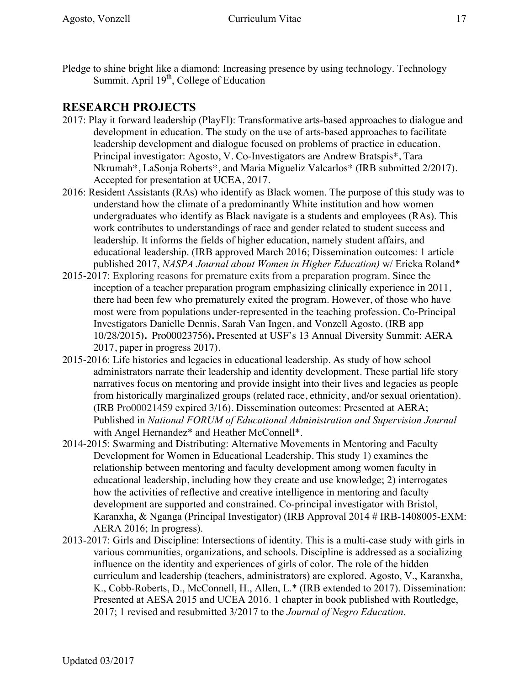Pledge to shine bright like a diamond: Increasing presence by using technology. Technology Summit. April 19<sup>th</sup>, College of Education

# **RESEARCH PROJECTS**

- 2017: Play it forward leadership (PlayFl): Transformative arts-based approaches to dialogue and development in education. The study on the use of arts-based approaches to facilitate leadership development and dialogue focused on problems of practice in education. Principal investigator: Agosto, V. Co-Investigators are Andrew Bratspis\*, Tara Nkrumah\*, LaSonja Roberts\*, and Maria Migueliz Valcarlos\* (IRB submitted 2/2017). Accepted for presentation at UCEA, 2017.
- 2016: Resident Assistants (RAs) who identify as Black women. The purpose of this study was to understand how the climate of a predominantly White institution and how women undergraduates who identify as Black navigate is a students and employees (RAs). This work contributes to understandings of race and gender related to student success and leadership. It informs the fields of higher education, namely student affairs, and educational leadership. (IRB approved March 2016; Dissemination outcomes: 1 article published 2017, *NASPA Journal about Women in Higher Education)* w/ Ericka Roland\*
- 2015-2017: Exploring reasons for premature exits from a preparation program. Since the inception of a teacher preparation program emphasizing clinically experience in 2011, there had been few who prematurely exited the program. However, of those who have most were from populations under-represented in the teaching profession. Co-Principal Investigators Danielle Dennis, Sarah Van Ingen, and Vonzell Agosto. (IRB app 10/28/2015**).** Pro00023756**).** Presented at USF's 13 Annual Diversity Summit: AERA 2017, paper in progress 2017).
- 2015-2016: Life histories and legacies in educational leadership. As study of how school administrators narrate their leadership and identity development. These partial life story narratives focus on mentoring and provide insight into their lives and legacies as people from historically marginalized groups (related race, ethnicity, and/or sexual orientation). (IRB Pro00021459 expired 3/16). Dissemination outcomes: Presented at AERA; Published in *National FORUM of Educational Administration and Supervision Journal* with Angel Hernandez\* and Heather McConnell\*.
- 2014-2015: Swarming and Distributing: Alternative Movements in Mentoring and Faculty Development for Women in Educational Leadership. This study 1) examines the relationship between mentoring and faculty development among women faculty in educational leadership, including how they create and use knowledge; 2) interrogates how the activities of reflective and creative intelligence in mentoring and faculty development are supported and constrained. Co-principal investigator with Bristol, Karanxha, & Nganga (Principal Investigator) (IRB Approval 2014 # IRB-1408005-EXM: AERA 2016; In progress).
- 2013-2017: Girls and Discipline: Intersections of identity. This is a multi-case study with girls in various communities, organizations, and schools. Discipline is addressed as a socializing influence on the identity and experiences of girls of color. The role of the hidden curriculum and leadership (teachers, administrators) are explored. Agosto, V., Karanxha, K., Cobb-Roberts, D., McConnell, H., Allen, L.\* (IRB extended to 2017). Dissemination: Presented at AESA 2015 and UCEA 2016. 1 chapter in book published with Routledge, 2017; 1 revised and resubmitted 3/2017 to the *Journal of Negro Education*.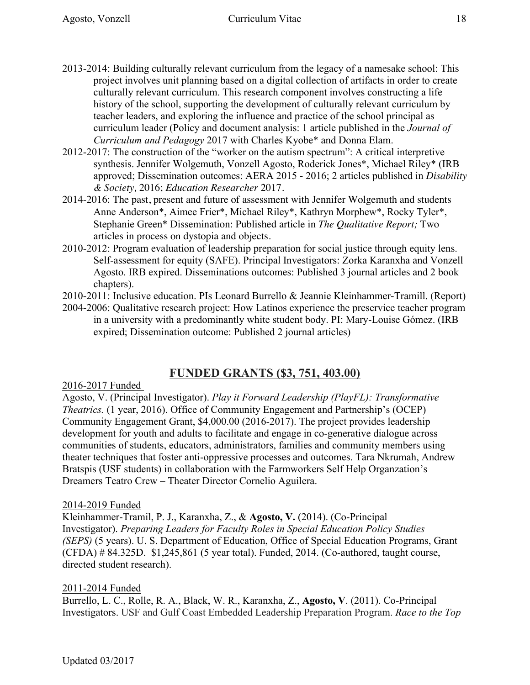- 2013-2014: Building culturally relevant curriculum from the legacy of a namesake school: This project involves unit planning based on a digital collection of artifacts in order to create culturally relevant curriculum. This research component involves constructing a life history of the school, supporting the development of culturally relevant curriculum by teacher leaders, and exploring the influence and practice of the school principal as curriculum leader (Policy and document analysis: 1 article published in the *Journal of Curriculum and Pedagogy* 2017 with Charles Kyobe\* and Donna Elam.
- 2012-2017: The construction of the "worker on the autism spectrum": A critical interpretive synthesis. Jennifer Wolgemuth, Vonzell Agosto, Roderick Jones\*, Michael Riley\* (IRB approved; Dissemination outcomes: AERA 2015 - 2016; 2 articles published in *Disability & Society,* 2016; *Education Researcher* 2017*.*
- 2014-2016: The past, present and future of assessment with Jennifer Wolgemuth and students Anne Anderson\*, Aimee Frier\*, Michael Riley\*, Kathryn Morphew\*, Rocky Tyler\*, Stephanie Green\* Dissemination: Published article in *The Qualitative Report;* Two articles in process on dystopia and objects.
- 2010-2012: Program evaluation of leadership preparation for social justice through equity lens. Self-assessment for equity (SAFE). Principal Investigators: Zorka Karanxha and Vonzell Agosto. IRB expired. Disseminations outcomes: Published 3 journal articles and 2 book chapters).
- 2010-2011: Inclusive education. PIs Leonard Burrello & Jeannie Kleinhammer-Tramill. (Report)
- 2004-2006: Qualitative research project: How Latinos experience the preservice teacher program in a university with a predominantly white student body. PI: Mary-Louise Gómez. (IRB expired; Dissemination outcome: Published 2 journal articles)

# **FUNDED GRANTS (\$3, 751, 403.00)**

### 2016-2017 Funded

Agosto, V. (Principal Investigator). *Play it Forward Leadership (PlayFL): Transformative Theatrics.* (1 year, 2016). Office of Community Engagement and Partnership's (OCEP) Community Engagement Grant, \$4,000.00 (2016-2017). The project provides leadership development for youth and adults to facilitate and engage in co-generative dialogue across communities of students, educators, administrators, families and community members using theater techniques that foster anti-oppressive processes and outcomes. Tara Nkrumah, Andrew Bratspis (USF students) in collaboration with the Farmworkers Self Help Organzation's Dreamers Teatro Crew – Theater Director Cornelio Aguilera.

#### 2014-2019 Funded

Kleinhammer-Tramil, P. J., Karanxha, Z., & **Agosto, V.** (2014). (Co-Principal Investigator). *Preparing Leaders for Faculty Roles in Special Education Policy Studies (SEPS)* (5 years). U. S. Department of Education, Office of Special Education Programs, Grant (CFDA) # 84.325D. \$1,245,861 (5 year total). Funded, 2014. (Co-authored, taught course, directed student research).

#### 2011-2014 Funded

Burrello, L. C., Rolle, R. A., Black, W. R., Karanxha, Z., **Agosto, V**. (2011). Co-Principal Investigators. USF and Gulf Coast Embedded Leadership Preparation Program. *Race to the Top*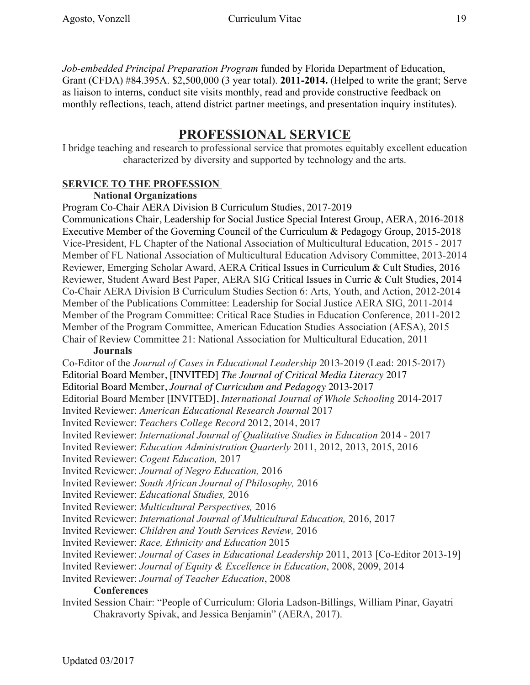*Job-embedded Principal Preparation Program* funded by Florida Department of Education, Grant (CFDA) #84.395A. \$2,500,000 (3 year total). **2011-2014.** (Helped to write the grant; Serve as liaison to interns, conduct site visits monthly, read and provide constructive feedback on monthly reflections, teach, attend district partner meetings, and presentation inquiry institutes).

# **PROFESSIONAL SERVICE**

I bridge teaching and research to professional service that promotes equitably excellent education characterized by diversity and supported by technology and the arts.

# **SERVICE TO THE PROFESSION**

# **National Organizations**

Program Co-Chair AERA Division B Curriculum Studies, 2017-2019

Communications Chair, Leadership for Social Justice Special Interest Group, AERA, 2016-2018 Executive Member of the Governing Council of the Curriculum & Pedagogy Group, 2015-2018 Vice-President, FL Chapter of the National Association of Multicultural Education, 2015 - 2017 Member of FL National Association of Multicultural Education Advisory Committee, 2013-2014 Reviewer, Emerging Scholar Award, AERA Critical Issues in Curriculum & Cult Studies, 2016 Reviewer, Student Award Best Paper, AERA SIG Critical Issues in Curric & Cult Studies, 2014 Co-Chair AERA Division B Curriculum Studies Section 6: Arts, Youth, and Action, 2012-2014 Member of the Publications Committee: Leadership for Social Justice AERA SIG, 2011-2014 Member of the Program Committee: Critical Race Studies in Education Conference, 2011-2012 Member of the Program Committee, American Education Studies Association (AESA), 2015 Chair of Review Committee 21: National Association for Multicultural Education, 2011

## **Journals**

Co-Editor of the *Journal of Cases in Educational Leadership* 2013-2019 (Lead: 2015-2017) Editorial Board Member, [INVITED] *The Journal of Critical Media Literacy* 2017 Editorial Board Member, *Journal of Curriculum and Pedagogy* 2013-2017 Editorial Board Member [INVITED], *International Journal of Whole Schooling* 2014-2017 Invited Reviewer: *American Educational Research Journal* 2017 Invited Reviewer: *Teachers College Record* 2012, 2014, 2017 Invited Reviewer: *International Journal of Qualitative Studies in Education* 2014 - 2017 Invited Reviewer: *Education Administration Quarterly* 2011, 2012, 2013, 2015, 2016 Invited Reviewer: *Cogent Education,* 2017 Invited Reviewer: *Journal of Negro Education,* 2016 Invited Reviewer: *South African Journal of Philosophy,* 2016 Invited Reviewer: *Educational Studies,* 2016 Invited Reviewer: *Multicultural Perspectives,* 2016 Invited Reviewer: *International Journal of Multicultural Education,* 2016, 2017 Invited Reviewer: *Children and Youth Services Review,* 2016 Invited Reviewer: *Race, Ethnicity and Education* 2015 Invited Reviewer: *Journal of Cases in Educational Leadership* 2011, 2013 [Co-Editor 2013-19] Invited Reviewer: *Journal of Equity & Excellence in Education*, 2008, 2009, 2014 Invited Reviewer: *Journal of Teacher Education*, 2008 **Conferences** Invited Session Chair: "People of Curriculum: Gloria Ladson-Billings, William Pinar, Gayatri Chakravorty Spivak, and Jessica Benjamin" (AERA, 2017).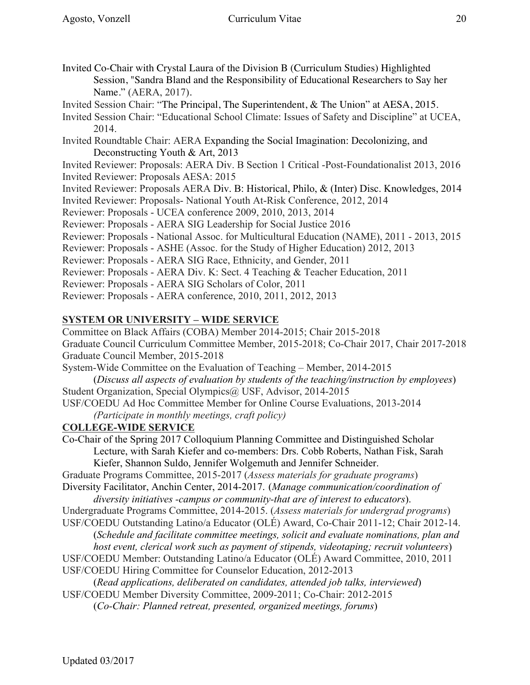- Invited Co-Chair with Crystal Laura of the Division B (Curriculum Studies) Highlighted Session, "Sandra Bland and the Responsibility of Educational Researchers to Say her Name." (AERA, 2017).
- Invited Session Chair: "The Principal, The Superintendent, & The Union" at AESA, 2015.
- Invited Session Chair: "Educational School Climate: Issues of Safety and Discipline" at UCEA, 2014.
- Invited Roundtable Chair: AERA Expanding the Social Imagination: Decolonizing, and Deconstructing Youth & Art, 2013

Invited Reviewer: Proposals: AERA Div. B Section 1 Critical -Post-Foundationalist 2013, 2016 Invited Reviewer: Proposals AESA: 2015

- Invited Reviewer: Proposals AERA Div. B: Historical, Philo, & (Inter) Disc. Knowledges, 2014
- Invited Reviewer: Proposals- National Youth At-Risk Conference, 2012, 2014
- Reviewer: Proposals UCEA conference 2009, 2010, 2013, 2014
- Reviewer: Proposals AERA SIG Leadership for Social Justice 2016
- Reviewer: Proposals National Assoc. for Multicultural Education (NAME), 2011 2013, 2015
- Reviewer: Proposals ASHE (Assoc. for the Study of Higher Education) 2012, 2013
- Reviewer: Proposals AERA SIG Race, Ethnicity, and Gender, 2011
- Reviewer: Proposals AERA Div. K: Sect. 4 Teaching & Teacher Education, 2011
- Reviewer: Proposals AERA SIG Scholars of Color, 2011
- Reviewer: Proposals AERA conference, 2010, 2011, 2012, 2013

# **SYSTEM OR UNIVERSITY – WIDE SERVICE**

Committee on Black Affairs (COBA) Member 2014-2015; Chair 2015-2018 Graduate Council Curriculum Committee Member, 2015-2018; Co-Chair 2017, Chair 2017-2018 Graduate Council Member, 2015-2018 System-Wide Committee on the Evaluation of Teaching – Member, 2014-2015

- (*Discuss all aspects of evaluation by students of the teaching/instruction by employees*) Student Organization, Special Olympics@ USF, Advisor, 2014-2015
- USF/COEDU Ad Hoc Committee Member for Online Course Evaluations, 2013-2014
	- *(Participate in monthly meetings, craft policy)*

# **COLLEGE-WIDE SERVICE**

Co-Chair of the Spring 2017 Colloquium Planning Committee and Distinguished Scholar Lecture, with Sarah Kiefer and co-members: Drs. Cobb Roberts, Nathan Fisk, Sarah Kiefer, Shannon Suldo, Jennifer Wolgemuth and Jennifer Schneider.

Graduate Programs Committee, 2015-2017 (*Assess materials for graduate programs*)

- Diversity Facilitator, Anchin Center, 2014-2017. (*Manage communication/coordination of diversity initiatives -campus or community-that are of interest to educators*).
- Undergraduate Programs Committee, 2014-2015. (*Assess materials for undergrad programs*) USF/COEDU Outstanding Latino/a Educator (OLÉ) Award, Co-Chair 2011-12; Chair 2012-14.
- (*Schedule and facilitate committee meetings, solicit and evaluate nominations, plan and*
- *host event, clerical work such as payment of stipends, videotaping; recruit volunteers*) USF/COEDU Member: Outstanding Latino/a Educator (OLÉ) Award Committee, 2010, 2011
- USF/COEDU Hiring Committee for Counselor Education, 2012-2013
- (*Read applications, deliberated on candidates, attended job talks, interviewed*)
- USF/COEDU Member Diversity Committee, 2009-2011; Co-Chair: 2012-2015

(*Co-Chair: Planned retreat, presented, organized meetings, forums*)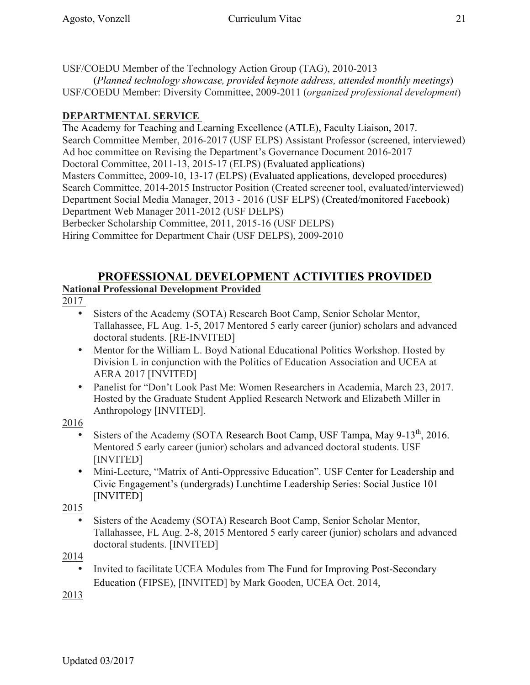USF/COEDU Member of the Technology Action Group (TAG), 2010-2013

(*Planned technology showcase, provided keynote address, attended monthly meetings*) USF/COEDU Member: Diversity Committee, 2009-2011 (*organized professional development*)

# **DEPARTMENTAL SERVICE**

The Academy for Teaching and Learning Excellence (ATLE), Faculty Liaison, 2017. Search Committee Member, 2016-2017 (USF ELPS) Assistant Professor (screened, interviewed) Ad hoc committee on Revising the Department's Governance Document 2016-2017 Doctoral Committee, 2011-13, 2015-17 (ELPS) (Evaluated applications) Masters Committee, 2009-10, 13-17 (ELPS) (Evaluated applications, developed procedures) Search Committee, 2014-2015 Instructor Position (Created screener tool, evaluated/interviewed) Department Social Media Manager, 2013 - 2016 (USF ELPS) (Created/monitored Facebook) Department Web Manager 2011-2012 (USF DELPS) Berbecker Scholarship Committee, 2011, 2015-16 (USF DELPS) Hiring Committee for Department Chair (USF DELPS), 2009-2010

### **PROFESSIONAL DEVELOPMENT ACTIVITIES PROVIDED National Professional Development Provided**

2017

- Sisters of the Academy (SOTA) Research Boot Camp, Senior Scholar Mentor, Tallahassee, FL Aug. 1-5, 2017 Mentored 5 early career (junior) scholars and advanced doctoral students. [RE-INVITED]
- Mentor for the William L. Boyd National Educational Politics Workshop. Hosted by Division L in conjunction with the Politics of Education Association and UCEA at AERA 2017 [INVITED]
- Panelist for "Don't Look Past Me: Women Researchers in Academia, March 23, 2017. Hosted by the Graduate Student Applied Research Network and Elizabeth Miller in Anthropology [INVITED].

2016

- Sisters of the Academy (SOTA Research Boot Camp, USF Tampa, May  $9-13<sup>th</sup>$ , 2016. Mentored 5 early career (junior) scholars and advanced doctoral students. USF [INVITED]
- Mini-Lecture, "Matrix of Anti-Oppressive Education". USF Center for Leadership and Civic Engagement's (undergrads) Lunchtime Leadership Series: Social Justice 101 [INVITED]

2015

• Sisters of the Academy (SOTA) Research Boot Camp, Senior Scholar Mentor, Tallahassee, FL Aug. 2-8, 2015 Mentored 5 early career (junior) scholars and advanced doctoral students. [INVITED]

2014

• Invited to facilitate UCEA Modules from The Fund for Improving Post-Secondary Education (FIPSE), [INVITED] by Mark Gooden, UCEA Oct. 2014,

2013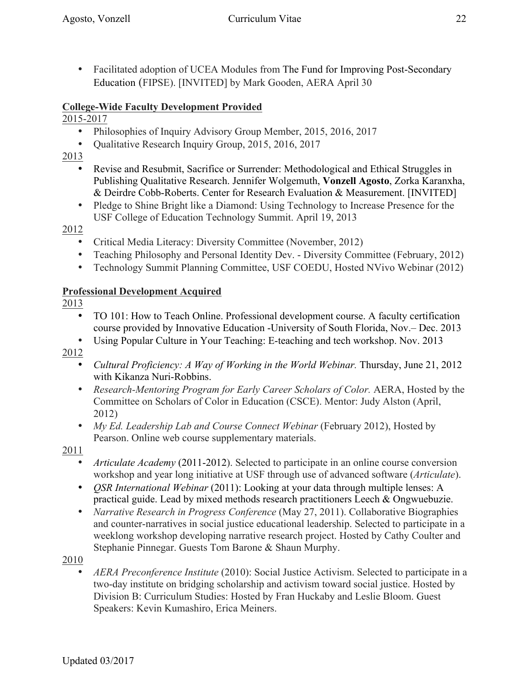• Facilitated adoption of UCEA Modules from The Fund for Improving Post-Secondary Education (FIPSE). [INVITED] by Mark Gooden, AERA April 30

### **College-Wide Faculty Development Provided**

### 2015-2017

- Philosophies of Inquiry Advisory Group Member, 2015, 2016, 2017
- Qualitative Research Inquiry Group, 2015, 2016, 2017
- 2013
	- Revise and Resubmit, Sacrifice or Surrender: Methodological and Ethical Struggles in Publishing Qualitative Research. Jennifer Wolgemuth, **Vonzell Agosto**, Zorka Karanxha, & Deirdre Cobb-Roberts. Center for Research Evaluation & Measurement. [INVITED]
	- Pledge to Shine Bright like a Diamond: Using Technology to Increase Presence for the USF College of Education Technology Summit. April 19, 2013

### 2012

- Critical Media Literacy: Diversity Committee (November, 2012)
- Teaching Philosophy and Personal Identity Dev. Diversity Committee (February, 2012)
- Technology Summit Planning Committee, USF COEDU, Hosted NVivo Webinar (2012)

### **Professional Development Acquired**

2013

- TO 101: How to Teach Online. Professional development course. A faculty certification course provided by Innovative Education -University of South Florida, Nov.– Dec. 2013
- Using Popular Culture in Your Teaching: E-teaching and tech workshop. Nov. 2013

2012

- *Cultural Proficiency: A Way of Working in the World Webinar.* Thursday, June 21, 2012 with Kikanza Nuri-Robbins.
- *Research-Mentoring Program for Early Career Scholars of Color.* AERA, Hosted by the Committee on Scholars of Color in Education (CSCE). Mentor: Judy Alston (April, 2012)
- *My Ed. Leadership Lab and Course Connect Webinar* (February 2012), Hosted by Pearson. Online web course supplementary materials.

2011

- *Articulate Academy* (2011-2012). Selected to participate in an online course conversion workshop and year long initiative at USF through use of advanced software (*Articulate*).
- *QSR International Webinar* (2011): Looking at your data through multiple lenses: A practical guide. Lead by mixed methods research practitioners Leech & Ongwuebuzie.
- *Narrative Research in Progress Conference* (May 27, 2011). Collaborative Biographies and counter-narratives in social justice educational leadership. Selected to participate in a weeklong workshop developing narrative research project. Hosted by Cathy Coulter and Stephanie Pinnegar. Guests Tom Barone & Shaun Murphy.

2010

• *AERA Preconference Institute* (2010): Social Justice Activism. Selected to participate in a two-day institute on bridging scholarship and activism toward social justice. Hosted by Division B: Curriculum Studies: Hosted by Fran Huckaby and Leslie Bloom. Guest Speakers: Kevin Kumashiro, Erica Meiners.